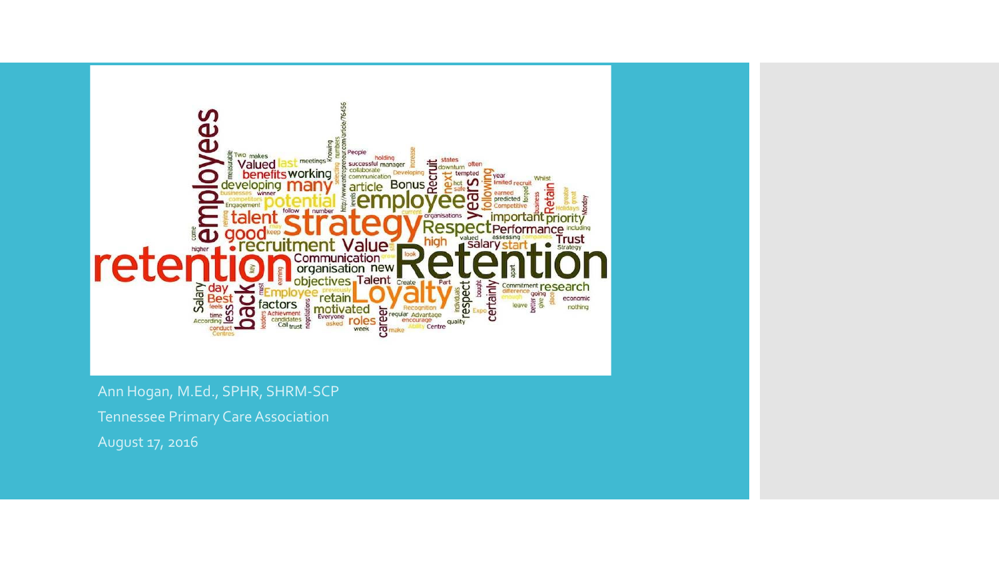

Ann Hogan, M.Ed., SPHR, SHRM-SCP

Tennessee Primary Care Association

August 17, 2016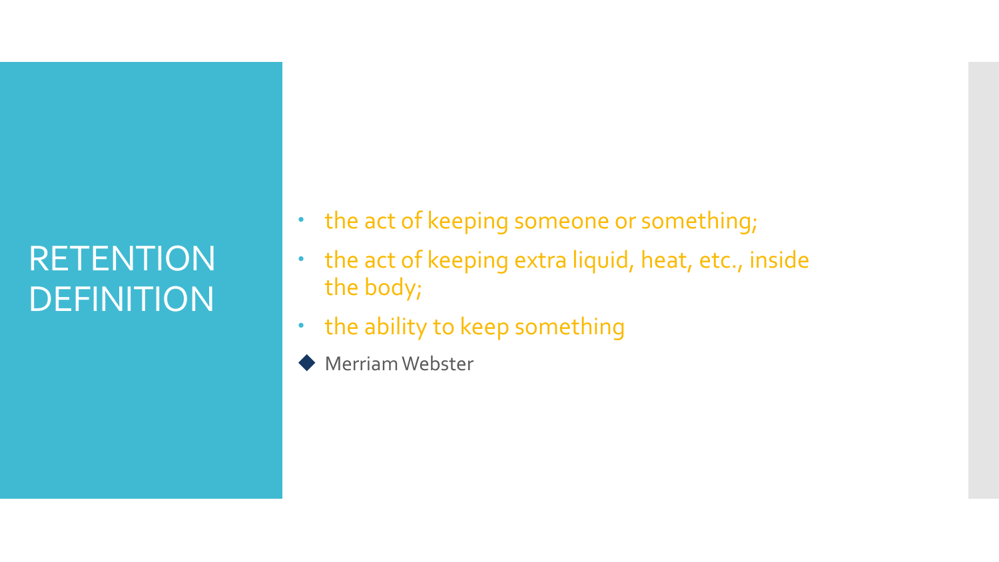# RETENTION DEFINITION

- the act of keeping someone or something;
- the act of keeping extra liquid, heat, etc., inside the body;
- the ability to keep something
- Merriam Webster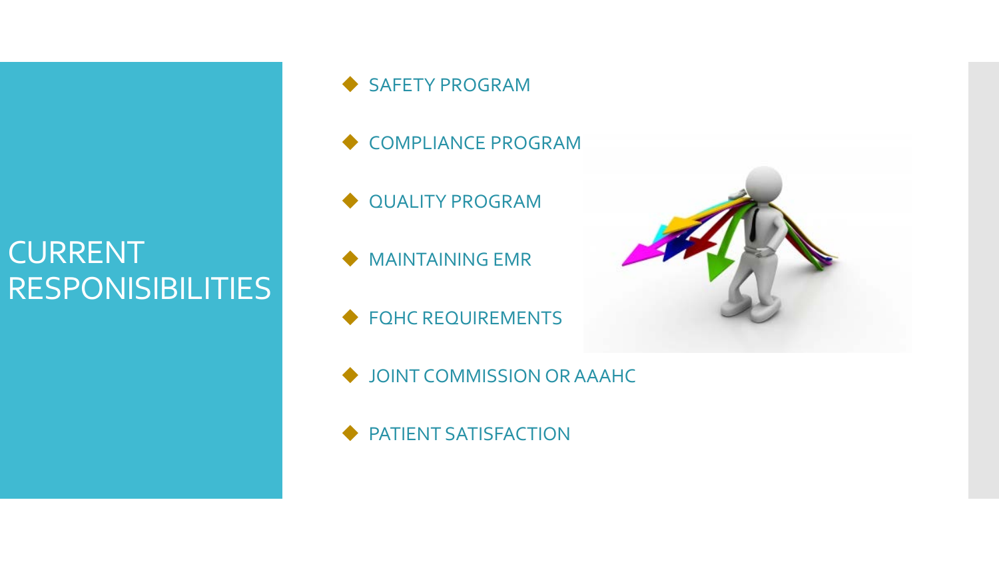#### CURRENT RESPONISIBILITIES

◆ SAFETY PROGRAM

- ◆ COMPLIANCE PROGRAM
- $\blacklozenge$  QUALITY PROGRAM
- $\blacklozenge$  MAINTAINING EMR
- ◆ FQHC REQUIREMENTS
- JOINT COMMISSION OR AAAHC
- ◆ PATIENT SATISFACTION

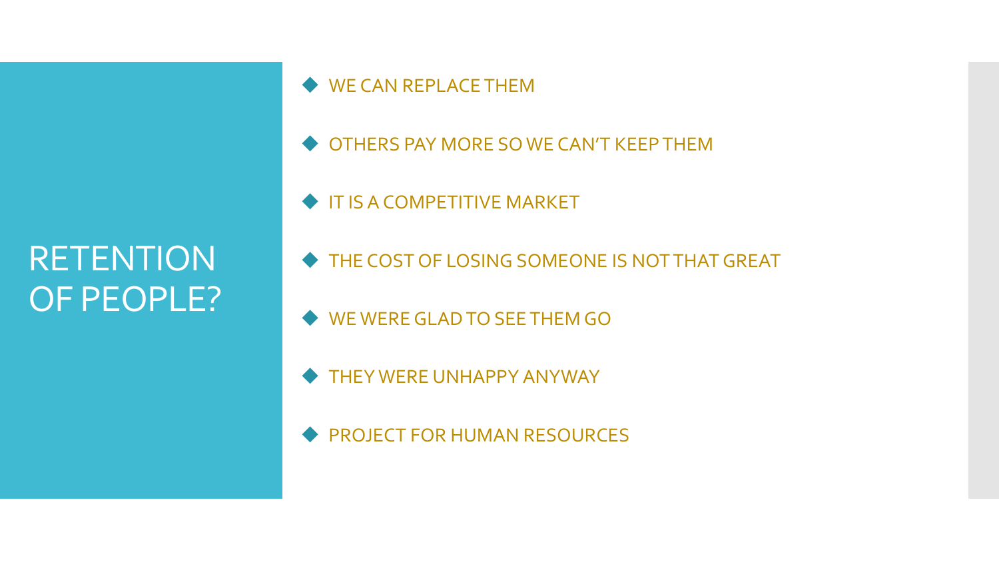# RETENTION OF PEOPLE?

◆ WE CAN REPLACE THEM

- OTHERS PAY MORE SO WE CAN'T KEEP THEM
- IT IS A COMPETITIVE MARKET
- THE COST OF LOSING SOMEONE IS NOT THAT GREAT
- WE WERE GLAD TO SEE THEM GO
- THEY WERE UNHAPPY ANYWAY
- **PROJECT FOR HUMAN RESOURCES**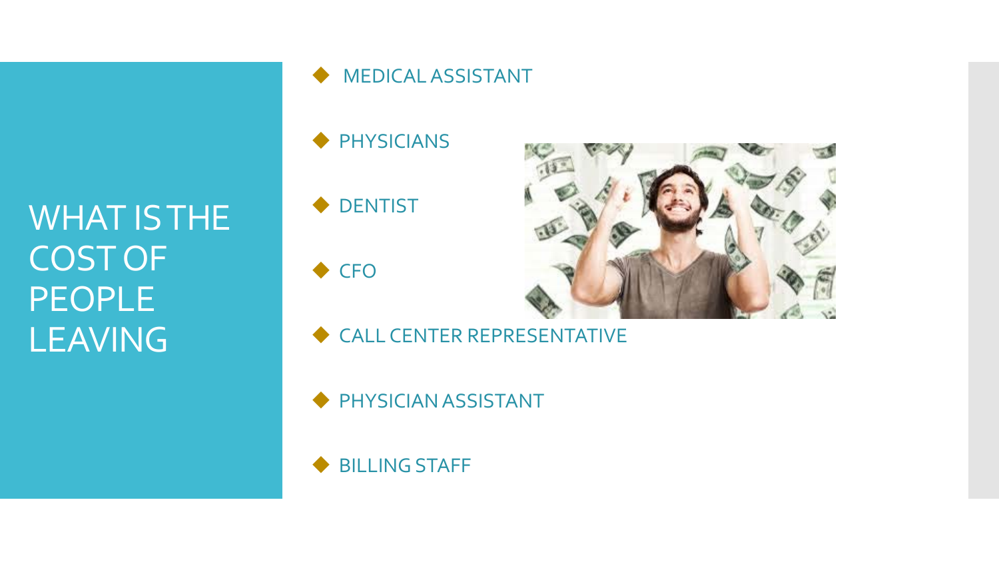WHAT IS THE COST OF PEOPLE<sub>1</sub> LEAVING

#### $\blacklozenge$  MEDICAL ASSISTANT

- ◆ PHYSICIANS
- ◆ DENTIST
- ◆ CFO



- CALL CENTER REPRESENTATIVE
- ◆ PHYSICIAN ASSISTANT
- ◆ BILLING STAFF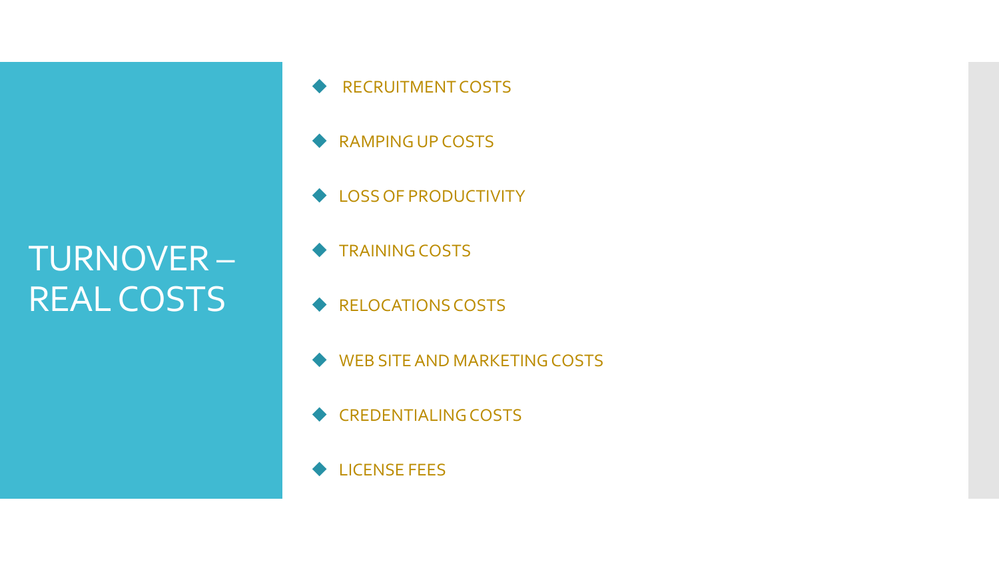# TURNOVER – REAL COSTS

- ◆ RECRUITMENT COSTS
- ◆ RAMPING UP COSTS
- ◆ LOSS OF PRODUCTIVITY
- TRAINING COSTS
- ◆ RELOCATIONS COSTS
- WEB SITE AND MARKETING COSTS
- ◆ CREDENTIALING COSTS
- **◆ LICENSE FEES**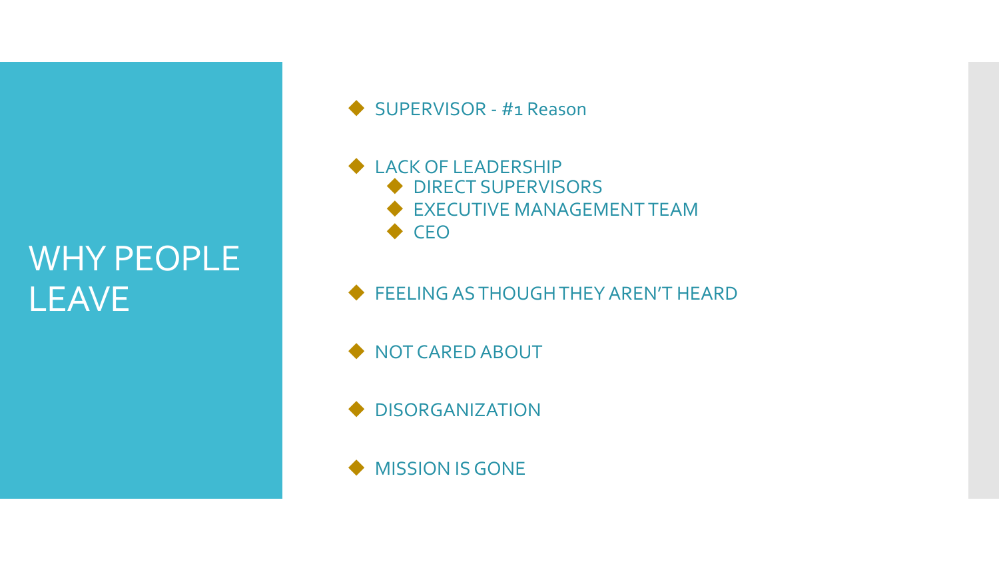# WHY PEOPLE LEAVE

SUPERVISOR - #1 Reason

#### ◆ LACK OF LEADERSHIP ◆ DIRECT SUPERVISORS **EXECUTIVE MANAGEMENT TEAM**  $\triangle$  CEO

**FEELING AS THOUGH THEY AREN'T HEARD** 

 $\blacklozenge$  NOT CARED ABOUT

◆ DISORGANIZATION

 $\blacklozenge$  MISSION IS GONE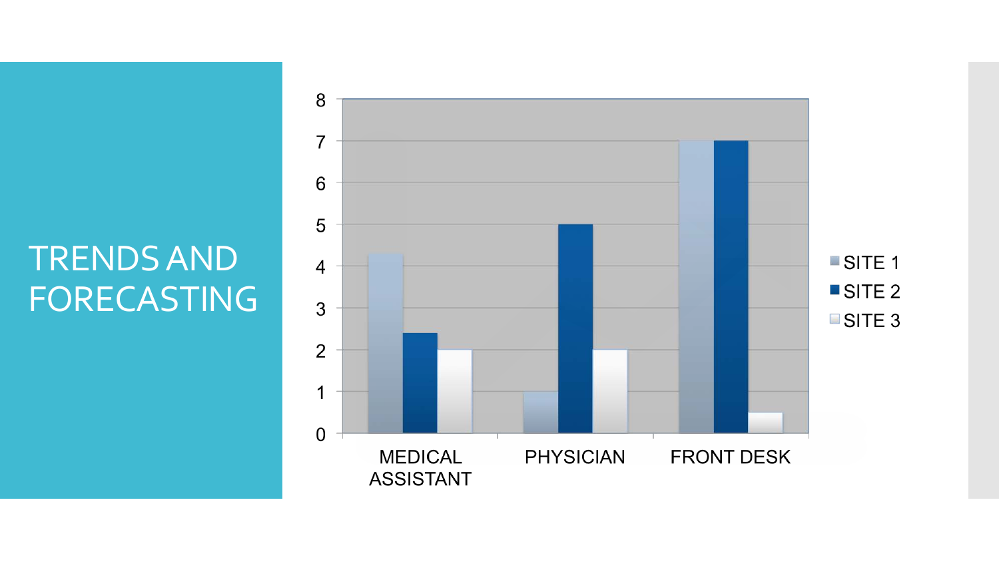# TRENDS AND FORECASTING

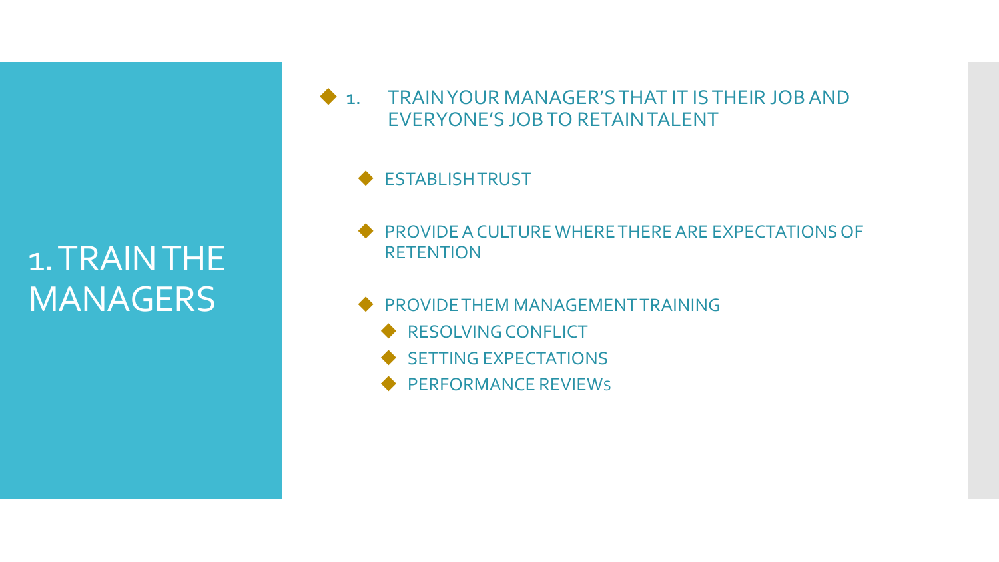## 1. TRAIN THE MANAGERS

 1. TRAIN YOUR MANAGER'S THAT IT IS THEIR JOB AND EVERYONE'S JOB TO RETAIN TALENT

◆ ESTABLISH TRUST

**PROVIDE A CULTURE WHERE THERE ARE EXPECTATIONS OF RETENTION** 

**PROVIDE THEM MANAGEMENT TRAINING** 

- RESOLVING CONFLICT
- $\triangle$  SETTING EXPECTATIONS
- ◆ PERFORMANCE REVIEWS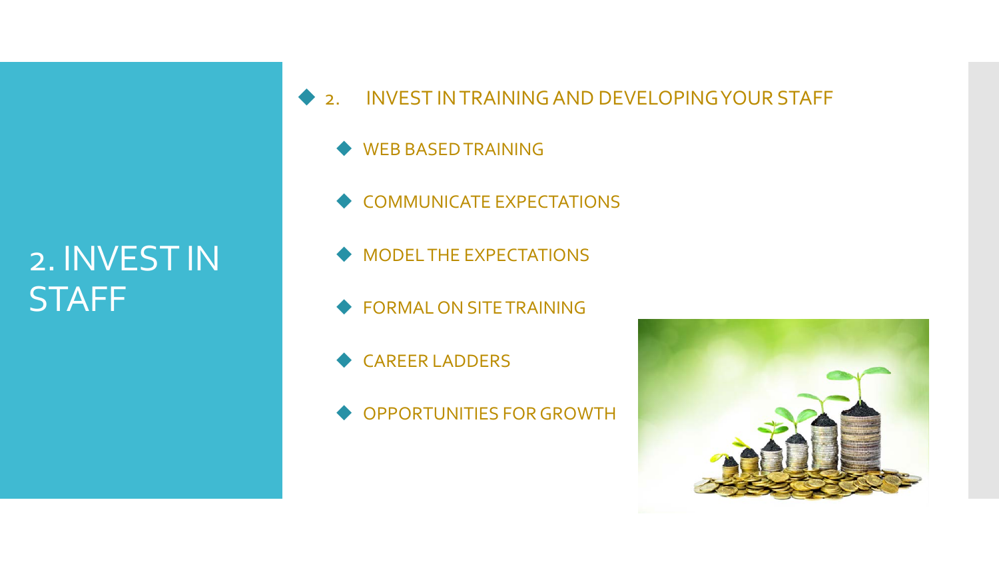#### 2. INVEST IN **STAFF**

- ◆ 2. INVEST IN TRAINING AND DEVELOPING YOUR STAFF
	- ◆ WEB BASED TRAINING
	- ◆ COMMUNICATE EXPECTATIONS
	- $\blacklozenge$  MODEL THE EXPECTATIONS
	- ◆ FORMAL ON SITE TRAINING
	- ◆ CAREER LADDERS
	- ◆ OPPORTUNITIES FOR GROWTH

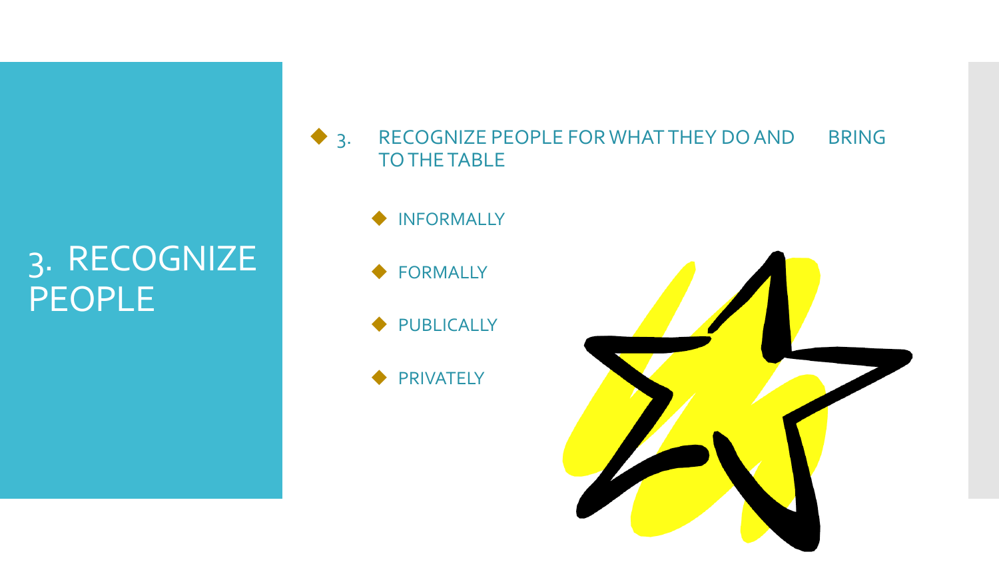#### 3. RECOGNIZE PEOPLE

◆ 3. RECOGNIZE PEOPLE FOR WHAT THEY DO AND BRING TO THE TABLE

- $\blacklozenge$  INFORMALLY
- ◆ FORMALLY
- ◆ PUBLICALLY
- ◆ PRIVATELY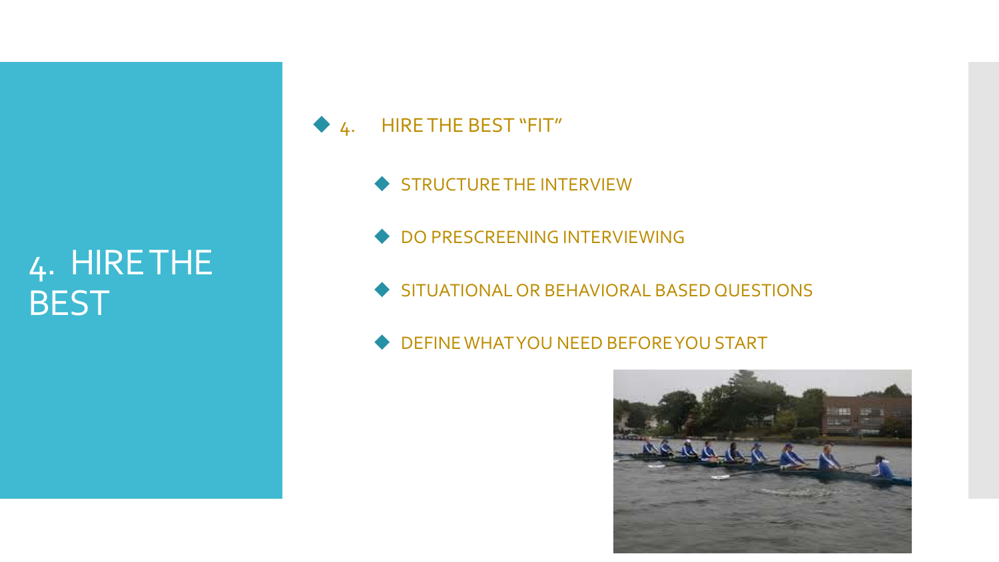## 4. HIRE THE **BEST**



- STRUCTURE THE INTERVIEW
- ◆ DO PRESCREENING INTERVIEWING
- SITUATIONAL OR BEHAVIORAL BASED QUESTIONS
- $\blacklozenge$  DEFINE WHAT YOU NEED BEFORE YOU START

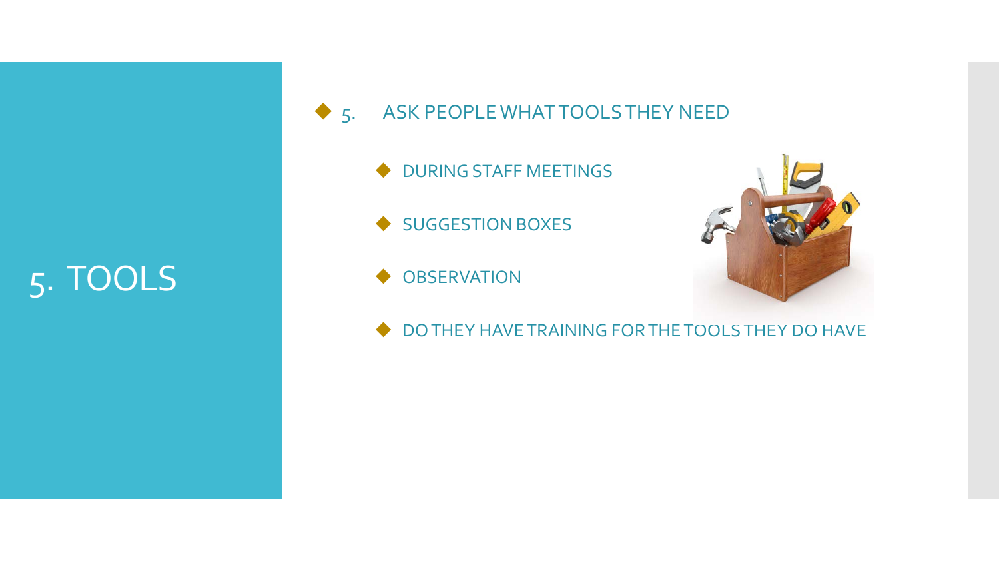# 5. TOOLS

◆ 5. ASK PEOPLE WHAT TOOLS THEY NEED

- $\blacklozenge$  DURING STAFF MEETINGS
- ◆ SUGGESTION BOXES
- **OBSERVATION**



 $\blacklozenge$  DO THEY HAVE TRAINING FOR THE TOOLS THEY DO HAVE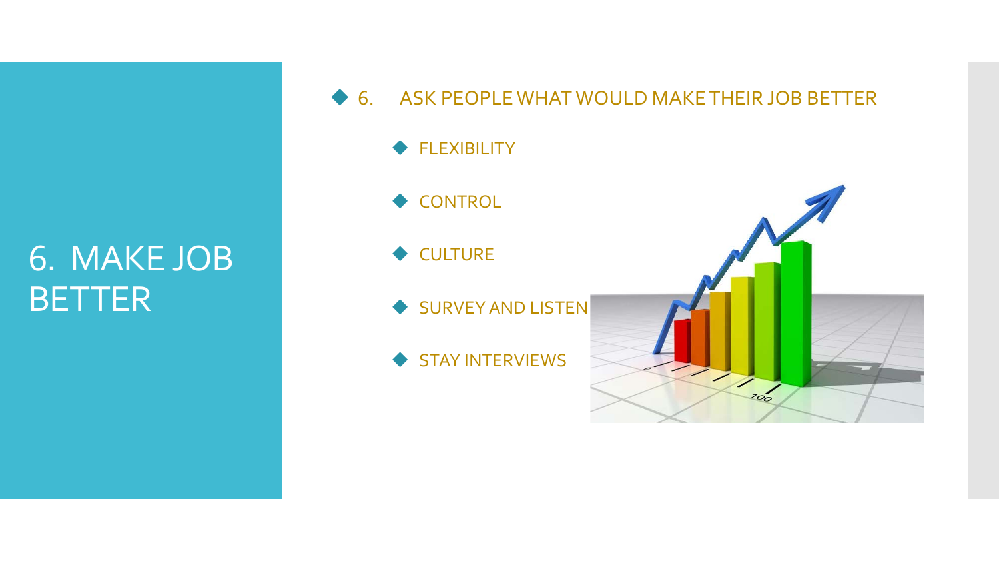#### 6. MAKE JOB **BETTER**

- ◆ 6. ASK PEOPLE WHAT WOULD MAKE THEIR JOB BETTER
	- ◆ FLEXIBILITY
	- ◆ CONTROL
	- ◆ CULTURE
	- SURVEY AND LISTEN
	- STAY INTERVIEWS

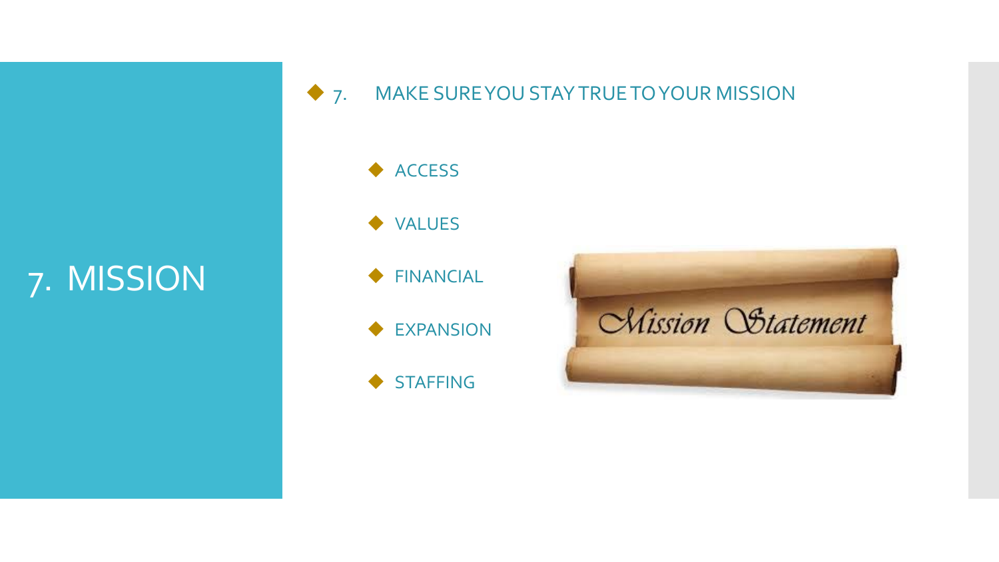# 7. MISSION

◆ 7. MAKE SURE YOU STAY TRUE TO YOUR MISSION

◆ ACCESS VALUES

FINANCIAL

◆ EXPANSION

STAFFING

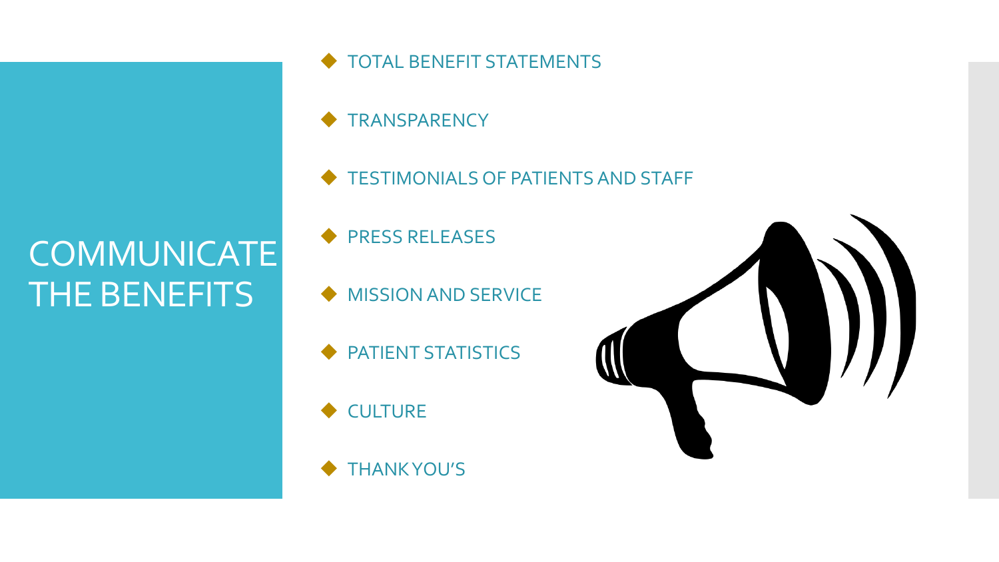# COMMUNICATE THE BENEFITS

- $\blacklozenge$  TOTAL BENEFIT STATEMENTS
- **TRANSPARENCY**
- $\blacklozenge$  TESTIMONIALS OF PATIENTS AND STAFF
- PRESS RELEASES
- MISSION AND SERVICE
- PATIENT STATISTICS
- $\blacklozenge$  CULTURE
- $\blacklozenge$  THANK YOU'S

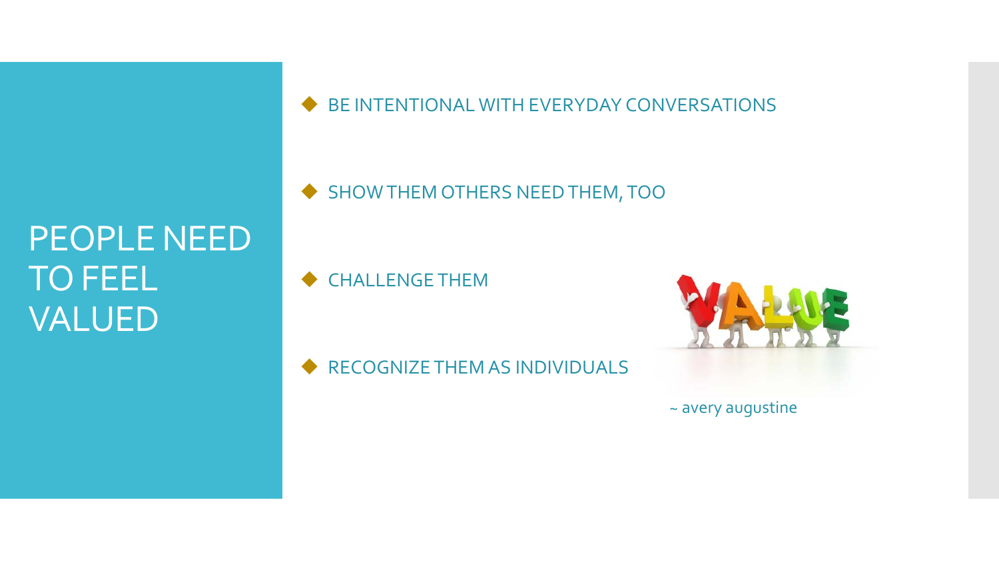# PEOPLE NEED TO FEEL VALUED

BE INTENTIONAL WITH EVERYDAY CONVERSATIONS

SHOW THEM OTHERS NEED THEM, TOO

CHALLENGE THEM

RECOGNIZE THEM AS INDIVIDUALS

~ avery augustine